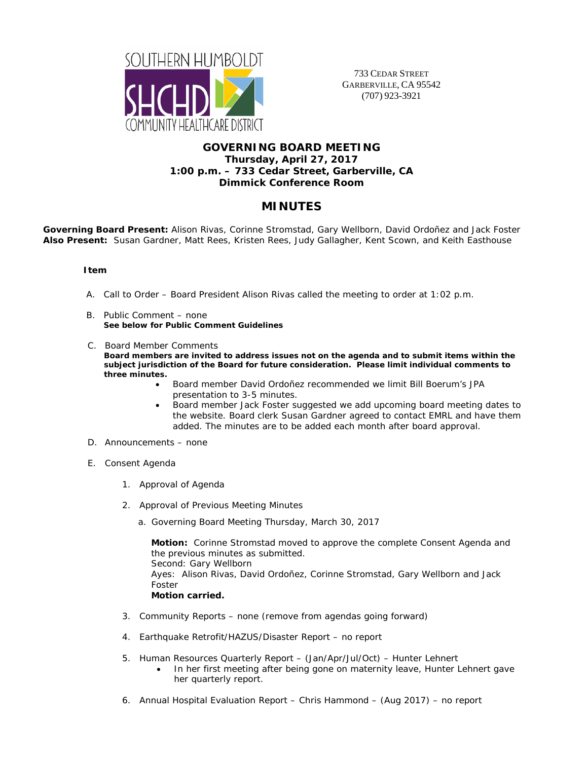

733 CEDAR STREET GARBERVILLE, CA 95542 (707) 923-3921

## **GOVERNING BOARD MEETING Thursday, April 27, 2017 1:00 p.m. – 733 Cedar Street, Garberville, CA Dimmick Conference Room**

# **MINUTES**

**Governing Board Present:** Alison Rivas, Corinne Stromstad, Gary Wellborn, David Ordoñez and Jack Foster **Also Present:** Susan Gardner, Matt Rees, Kristen Rees, Judy Gallagher, Kent Scown, and Keith Easthouse

#### **Item**

- A. Call to Order Board President Alison Rivas called the meeting to order at 1:02 p.m.
- B. Public Comment none **See below for Public Comment Guidelines**
- C. Board Member Comments **Board members are invited to address issues not on the agenda and to submit items within the subject jurisdiction of the Board for future consideration. Please limit individual comments to three minutes.** 
	- Board member David Ordoñez recommended we limit Bill Boerum's JPA presentation to 3-5 minutes.
	- Board member Jack Foster suggested we add upcoming board meeting dates to the website. Board clerk Susan Gardner agreed to contact EMRL and have them added. The minutes are to be added each month after board approval.
- D. Announcements none
- E. Consent Agenda
	- 1. Approval of Agenda
	- 2. Approval of Previous Meeting Minutes
		- a. Governing Board Meeting Thursday, March 30, 2017

**Motion:** Corinne Stromstad moved to approve the complete Consent Agenda and the previous minutes as submitted. Second: Gary Wellborn Ayes: Alison Rivas, David Ordoñez, Corinne Stromstad, Gary Wellborn and Jack Foster **Motion carried.** 

- 3. Community Reports none (remove from agendas going forward)
- 4. Earthquake Retrofit/HAZUS/Disaster Report no report
- 5. Human Resources Quarterly Report (Jan/Apr/Jul/Oct) Hunter Lehnert
	- In her first meeting after being gone on maternity leave, Hunter Lehnert gave her quarterly report.
- 6. Annual Hospital Evaluation Report Chris Hammond (Aug 2017) no report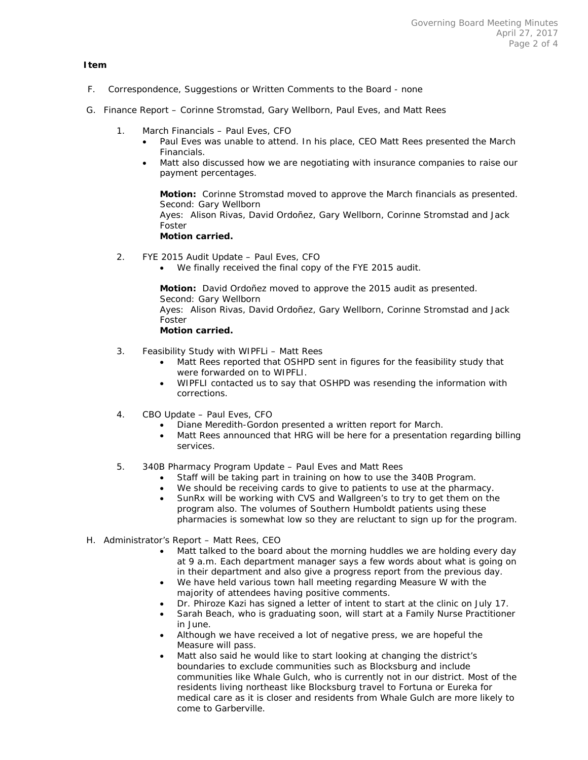#### **Item**

- F. Correspondence, Suggestions or Written Comments to the Board none
- G. Finance Report Corinne Stromstad, Gary Wellborn, Paul Eves, and Matt Rees
	- 1. March Financials Paul Eves, CFO
		- Paul Eves was unable to attend. In his place, CEO Matt Rees presented the March Financials.
		- Matt also discussed how we are negotiating with insurance companies to raise our payment percentages.

**Motion:** Corinne Stromstad moved to approve the March financials as presented. Second: Gary Wellborn Ayes: Alison Rivas, David Ordoñez, Gary Wellborn, Corinne Stromstad and Jack Foster **Motion carried.** 

- 2. FYE 2015 Audit Update Paul Eves, CFO
	- We finally received the final copy of the FYE 2015 audit.

**Motion:** David Ordoñez moved to approve the 2015 audit as presented. Second: Gary Wellborn Ayes: Alison Rivas, David Ordoñez, Gary Wellborn, Corinne Stromstad and Jack Foster **Motion carried.** 

- 3. Feasibility Study with WIPFLi Matt Rees
	- Matt Rees reported that OSHPD sent in figures for the feasibility study that were forwarded on to WIPFLI.
	- WIPFLI contacted us to say that OSHPD was resending the information with corrections.
- 4. CBO Update Paul Eves, CFO
	- Diane Meredith-Gordon presented a written report for March.
	- Matt Rees announced that HRG will be here for a presentation regarding billing services.
- 5. 340B Pharmacy Program Update Paul Eves and Matt Rees
	- Staff will be taking part in training on how to use the 340B Program.
	- We should be receiving cards to give to patients to use at the pharmacy.
	- SunRx will be working with CVS and Wallgreen's to try to get them on the program also. The volumes of Southern Humboldt patients using these pharmacies is somewhat low so they are reluctant to sign up for the program.
- H. Administrator's Report Matt Rees, CEO
	- Matt talked to the board about the morning huddles we are holding every day at 9 a.m. Each department manager says a few words about what is going on in their department and also give a progress report from the previous day.
	- We have held various town hall meeting regarding Measure W with the majority of attendees having positive comments.
	- Dr. Phiroze Kazi has signed a letter of intent to start at the clinic on July 17.
	- Sarah Beach, who is graduating soon, will start at a Family Nurse Practitioner in June.
	- Although we have received a lot of negative press, we are hopeful the Measure will pass.
	- Matt also said he would like to start looking at changing the district's boundaries to exclude communities such as Blocksburg and include communities like Whale Gulch, who is currently not in our district. Most of the residents living northeast like Blocksburg travel to Fortuna or Eureka for medical care as it is closer and residents from Whale Gulch are more likely to come to Garberville.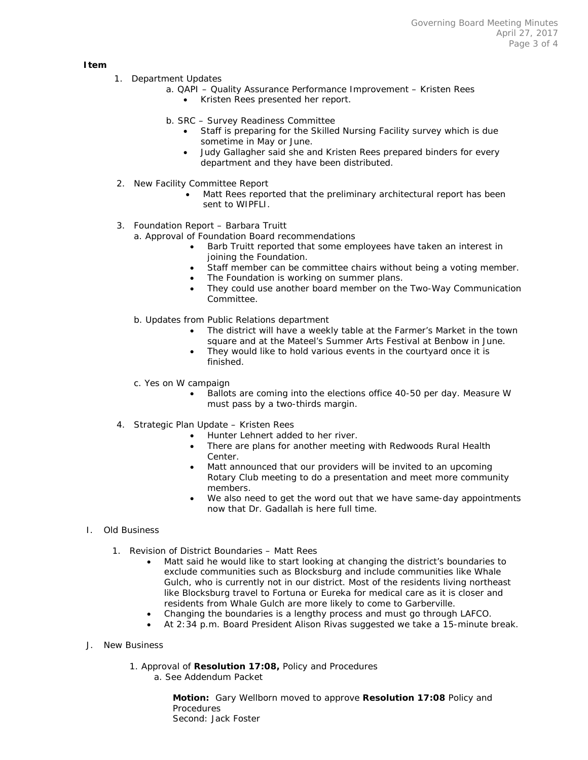**Item** 

- 1. Department Updates
	- a. QAPI Quality Assurance Performance Improvement Kristen Rees
		- Kristen Rees presented her report.
	- b. SRC Survey Readiness Committee
		- Staff is preparing for the Skilled Nursing Facility survey which is due sometime in May or June.
		- Judy Gallagher said she and Kristen Rees prepared binders for every department and they have been distributed.
- 2. New Facility Committee Report
	- Matt Rees reported that the preliminary architectural report has been sent to WIPFLI.
- 3. Foundation Report Barbara Truitt
	- a. Approval of Foundation Board recommendations
		- Barb Truitt reported that some employees have taken an interest in joining the Foundation.
		- Staff member can be committee chairs without being a voting member.
		- The Foundation is working on summer plans.
		- They could use another board member on the Two-Way Communication Committee.
	- b. Updates from Public Relations department
		- The district will have a weekly table at the Farmer's Market in the town square and at the Mateel's Summer Arts Festival at Benbow in June.
		- They would like to hold various events in the courtyard once it is finished.
	- c. Yes on W campaign
		- Ballots are coming into the elections office 40-50 per day. Measure W must pass by a two-thirds margin.
- 4. Strategic Plan Update Kristen Rees
	- Hunter Lehnert added to her river.
	- There are plans for another meeting with Redwoods Rural Health Center.
	- Matt announced that our providers will be invited to an upcoming Rotary Club meeting to do a presentation and meet more community members.
	- We also need to get the word out that we have same-day appointments now that Dr. Gadallah is here full time.
- I. Old Business
	- 1. Revision of District Boundaries Matt Rees
		- Matt said he would like to start looking at changing the district's boundaries to exclude communities such as Blocksburg and include communities like Whale Gulch, who is currently not in our district. Most of the residents living northeast like Blocksburg travel to Fortuna or Eureka for medical care as it is closer and residents from Whale Gulch are more likely to come to Garberville.
		- Changing the boundaries is a lengthy process and must go through LAFCO.
		- At 2:34 p.m. Board President Alison Rivas suggested we take a 15-minute break.
- J. New Business
	- 1. Approval of **Resolution 17:08,** Policy and Procedures a. See Addendum Packet

**Motion:** Gary Wellborn moved to approve **Resolution 17:08** Policy and **Procedures** Second: Jack Foster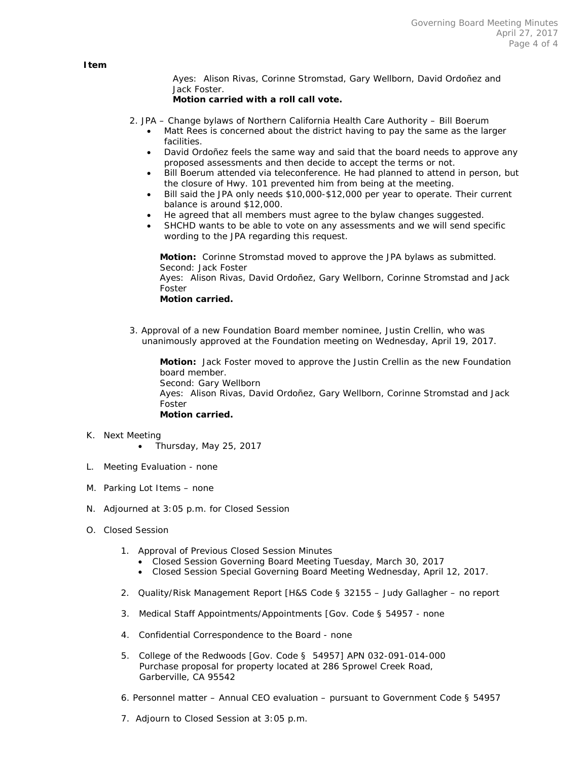Ayes: Alison Rivas, Corinne Stromstad, Gary Wellborn, David Ordoñez and Jack Foster.

#### **Motion carried with a roll call vote.**

- 2. JPA Change bylaws of Northern California Health Care Authority Bill Boerum
	- Matt Rees is concerned about the district having to pay the same as the larger facilities.
	- David Ordoñez feels the same way and said that the board needs to approve any proposed assessments and then decide to accept the terms or not.
	- Bill Boerum attended via teleconference. He had planned to attend in person, but the closure of Hwy. 101 prevented him from being at the meeting.
	- Bill said the JPA only needs \$10,000-\$12,000 per year to operate. Their current balance is around \$12,000.
	- He agreed that all members must agree to the bylaw changes suggested.
	- SHCHD wants to be able to vote on any assessments and we will send specific wording to the JPA regarding this request.

**Motion:** Corinne Stromstad moved to approve the JPA bylaws as submitted. Second: Jack Foster

Ayes: Alison Rivas, David Ordoñez, Gary Wellborn, Corinne Stromstad and Jack Foster

#### **Motion carried.**

3. Approval of a new Foundation Board member nominee, Justin Crellin, who was unanimously approved at the Foundation meeting on Wednesday, April 19, 2017.

**Motion:** Jack Foster moved to approve the Justin Crellin as the new Foundation board member. Second: Gary Wellborn Ayes: Alison Rivas, David Ordoñez, Gary Wellborn, Corinne Stromstad and Jack Foster **Motion carried.** 

- K. Next Meeting
	- $\bullet$  Thursday, May 25, 2017
- L. Meeting Evaluation none
- M. Parking Lot Items none
- N. Adjourned at 3:05 p.m. for Closed Session
- O. Closed Session
	- 1. Approval of Previous Closed Session Minutes
		- Closed Session Governing Board Meeting Tuesday, March 30, 2017
		- Closed Session Special Governing Board Meeting Wednesday, April 12, 2017.
	- 2. Quality/Risk Management Report [H&S Code § 32155 Judy Gallagher no report
	- 3. Medical Staff Appointments/Appointments [Gov. Code § 54957 none
	- 4. Confidential Correspondence to the Board none
	- 5. College of the Redwoods [Gov. Code § 54957] APN 032-091-014-000 Purchase proposal for property located at 286 Sprowel Creek Road, Garberville, CA 95542
	- 6. Personnel matter Annual CEO evaluation pursuant to Government Code § 54957
	- 7. Adjourn to Closed Session at 3:05 p.m.

 **Item**